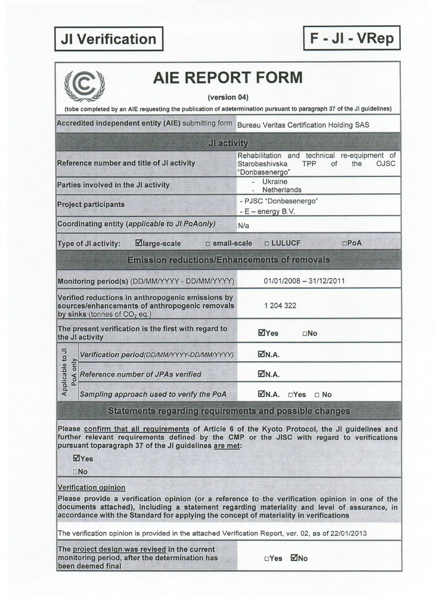## **I JI Verification**

**I** 



## **AlE REPORT FORM**

**F -JI - VRepj** 

**(version 04)** 

**(tobe completed by an AlE requesting the publication of adetermination pursuant to paragraph 37 of the JI guidelines)** 

Accredited independent entity (AIE) submitting form Bureau Veritas Certification Holding SAS

| <b>JI activity</b>                                  |                                                                                                                                       |                                                                                                                     |  |  |  |  |  |
|-----------------------------------------------------|---------------------------------------------------------------------------------------------------------------------------------------|---------------------------------------------------------------------------------------------------------------------|--|--|--|--|--|
|                                                     | Reference number and title of JI activity                                                                                             | Rehabilitation and technical re-equipment of<br><b>TPP</b><br>of<br>the<br>OJSC<br>Starobeshivska<br>"Donbasenergo" |  |  |  |  |  |
|                                                     | Parties involved in the JI activity                                                                                                   | <b>Ukraine</b><br>Netherlands                                                                                       |  |  |  |  |  |
|                                                     | <b>Project participants</b>                                                                                                           | - PJSC "Donbasenergo"<br>$-E$ – energy B.V.                                                                         |  |  |  |  |  |
|                                                     | Coordinating entity (applicable to JI PoAonly)                                                                                        | N/a                                                                                                                 |  |  |  |  |  |
|                                                     | <b>⊠large-scale</b><br>□ small-scale<br>Type of JI activity:                                                                          | <b>D LULUCF</b><br>$\Box$ PoA                                                                                       |  |  |  |  |  |
| <b>Emission reductions/Enhancements of removals</b> |                                                                                                                                       |                                                                                                                     |  |  |  |  |  |
|                                                     | Monitoring period(s) (DD/MM/YYYY - DD/MM/YYYY)                                                                                        | 01/01/2008 - 31/12/2011                                                                                             |  |  |  |  |  |
|                                                     | Verified reductions in anthropogenic emissions by<br>sources/enhancements of anthropogenic removals<br>by sinks (tonnes of $CO2$ eq.) | 1 204 322                                                                                                           |  |  |  |  |  |
|                                                     | The present verification is the first with regard to<br>the JI activity                                                               | ⊠Yes<br>$\square$ No                                                                                                |  |  |  |  |  |
| Applicable to JI<br>only<br>PoA                     | Verification period(DD/MM/YYYY-DD/MM/YYYY)                                                                                            | M.A.                                                                                                                |  |  |  |  |  |
|                                                     | <b>Reference number of JPAs verified</b>                                                                                              | M.A.                                                                                                                |  |  |  |  |  |
|                                                     | Sampling approach used to verify the PoA                                                                                              | MN.A.<br>$\Box$ Yes<br>$\Box$ No                                                                                    |  |  |  |  |  |

**Statements regarding requirements and possible changes** 

**Please confirm that all requirements of Article 6 of the Kyoto Protocol, the JI guidelines and further relevant requirements defined by the CMP or the JISC with regard to verifications pursuant toparagraph 37 of the JI guidelines are met:** 

**Eyes** 

**LNo** 

## **Verification opinion**

**Please provide a verification opinion (or a reference to the verification opinion in one of the documents attached), including a statement regarding materiality and level of assurance, in accordance with the Standard for applying the concept of materiality in verifications** 

**The verification opinion is provided in the attached Verification Report, ver. 02, as of 22/01/2013** 

**The proiect design was revised in the current monitoring period, after the determination has interest on the determination has been deemed final** 

| ⊐Yes |  | MNo |
|------|--|-----|
|------|--|-----|